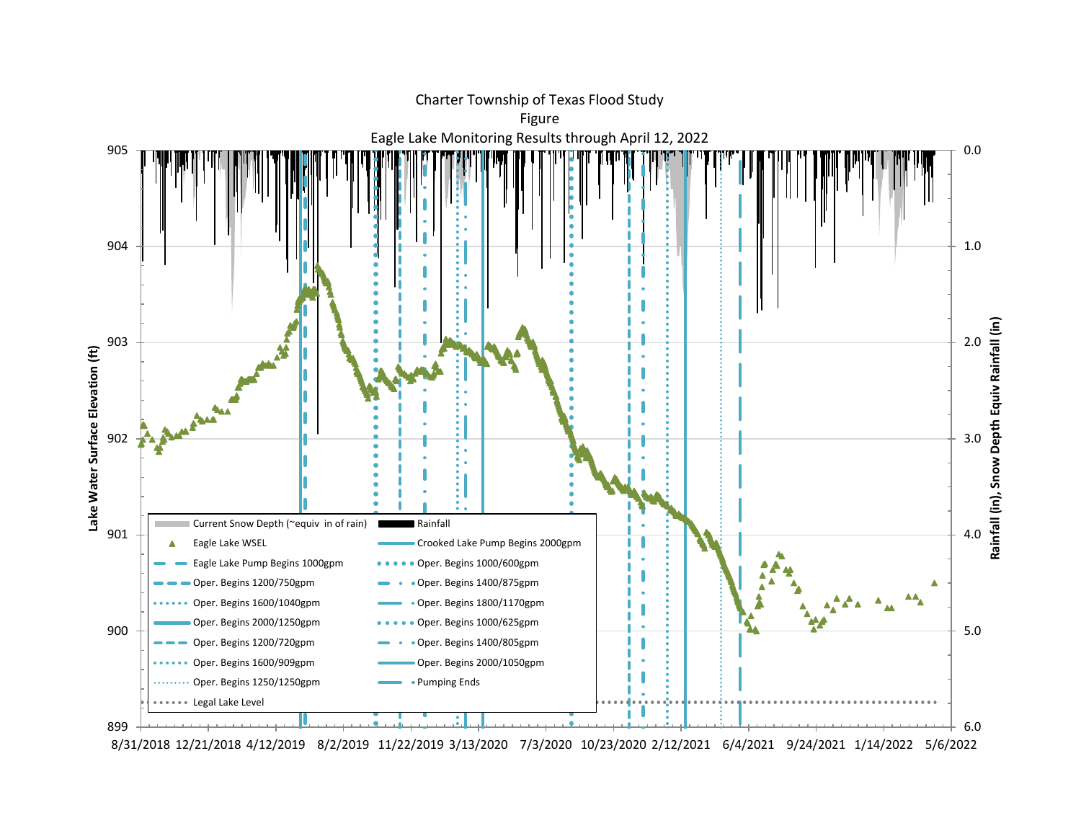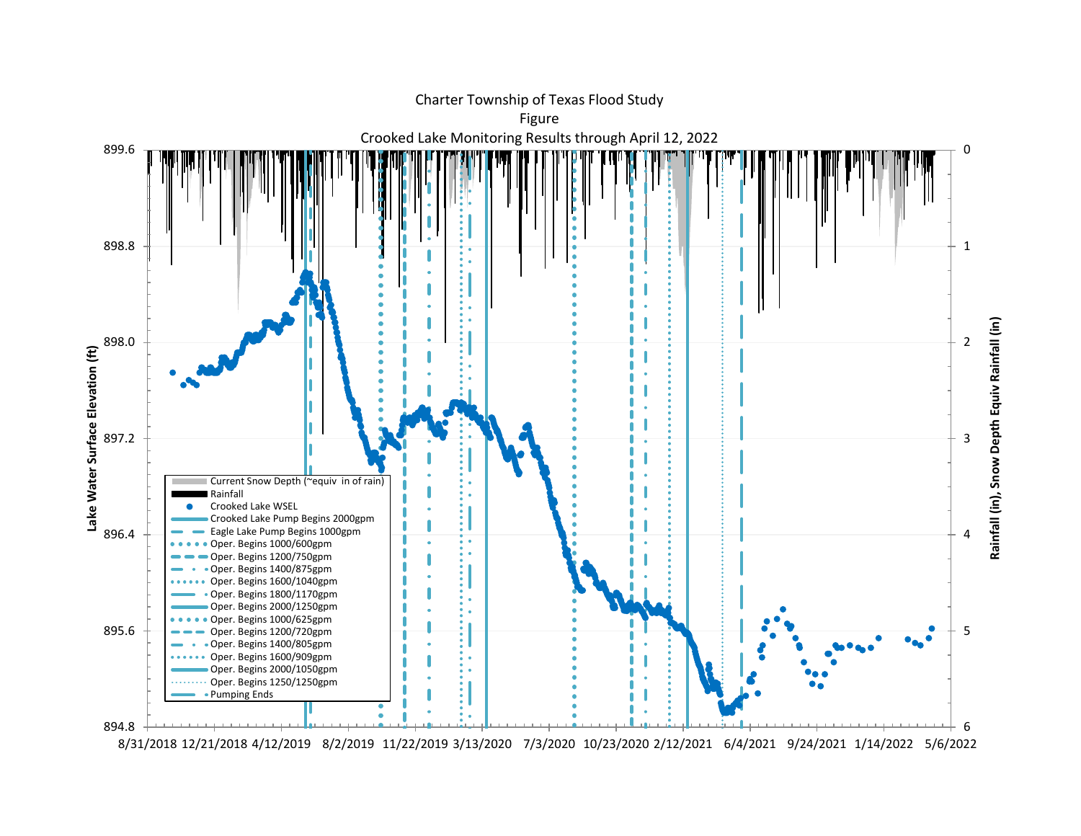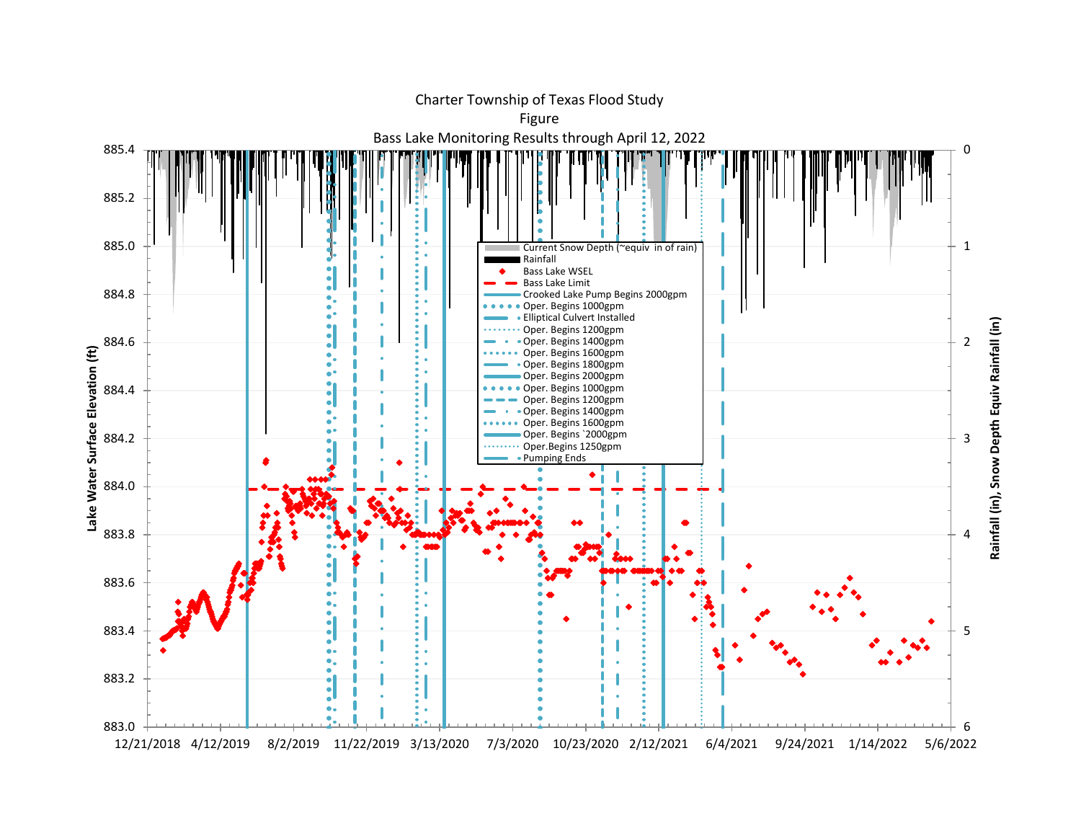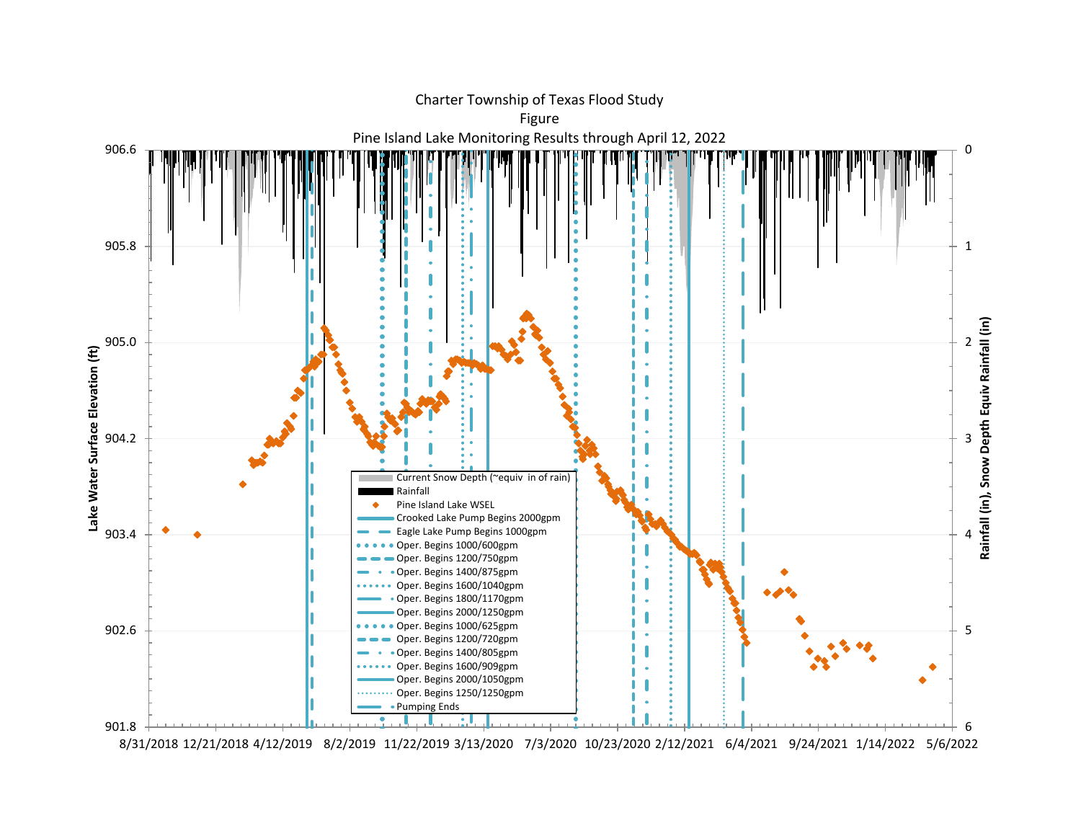

8/31/2018 12/21/2018 4/12/2019 8/2/2019 11/22/2019 3/13/2020 7/3/2020 10/23/2020 2/12/2021 6/4/2021 9/24/2021 1/14/2022 5/6/2022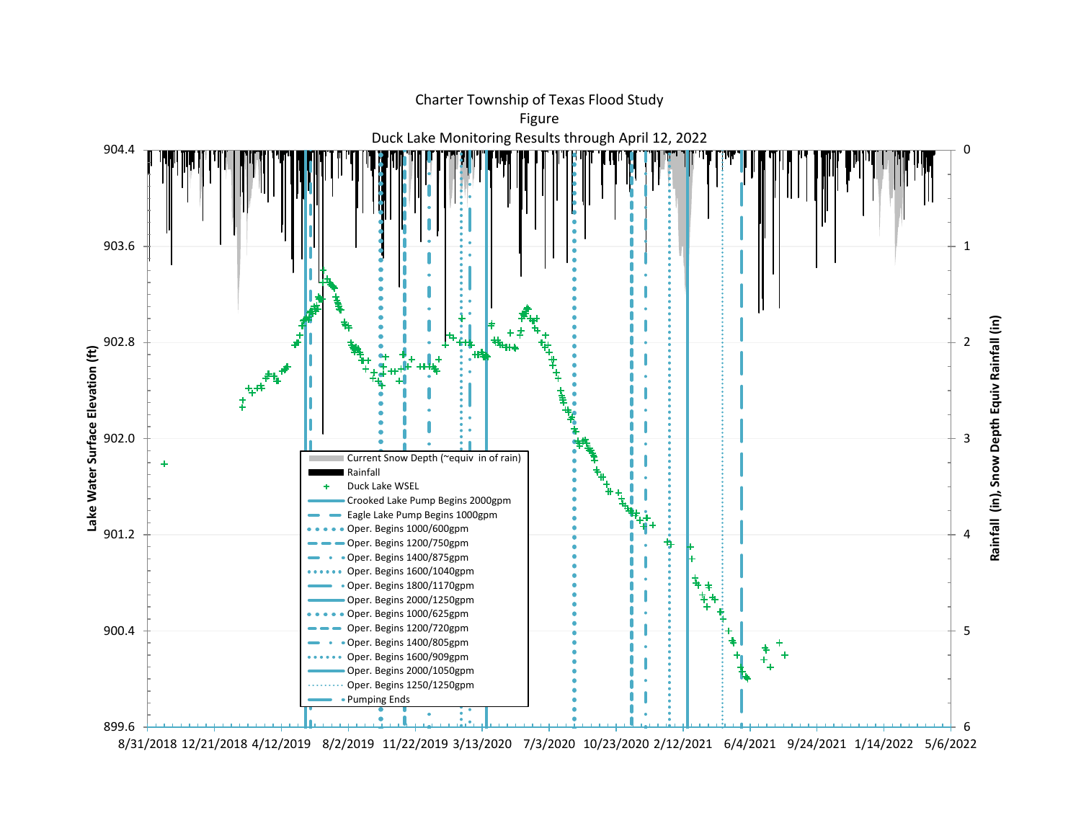

8/31/2018 12/21/2018 4/12/2019 8/2/2019 11/22/2019 3/13/2020 7/3/2020 10/23/2020 2/12/2021 6/4/2021 9/24/2021 1/14/2022 5/6/2022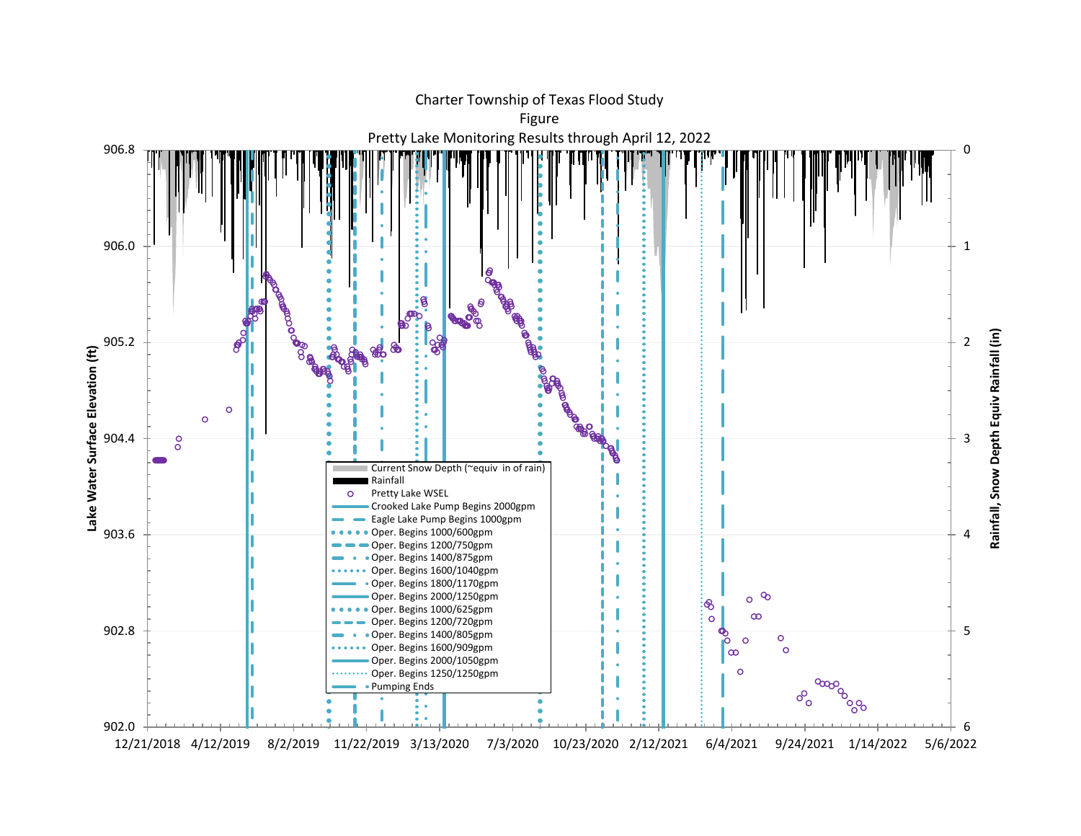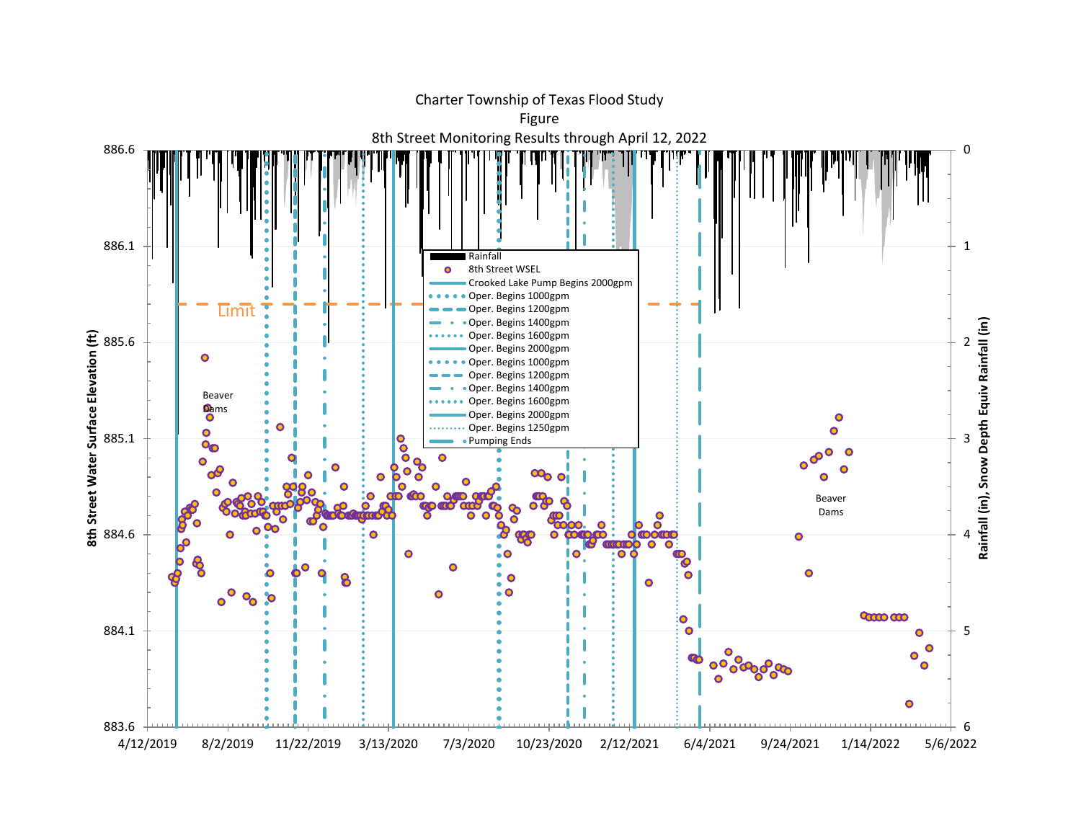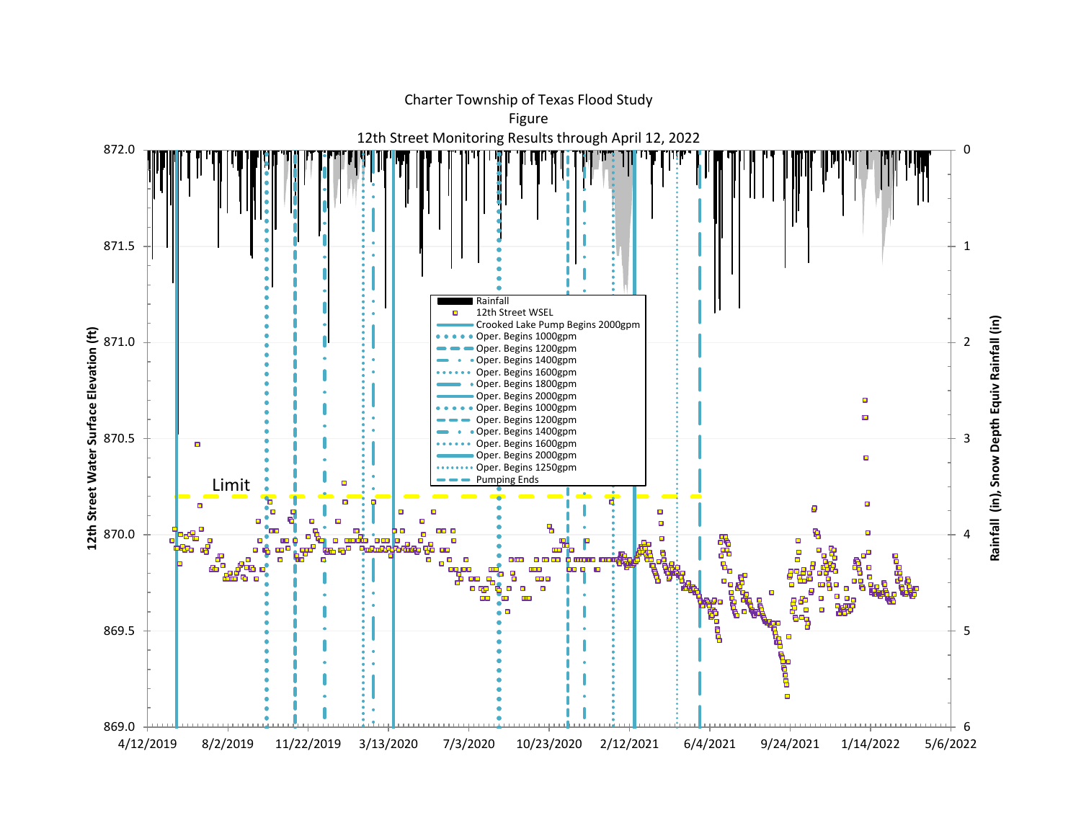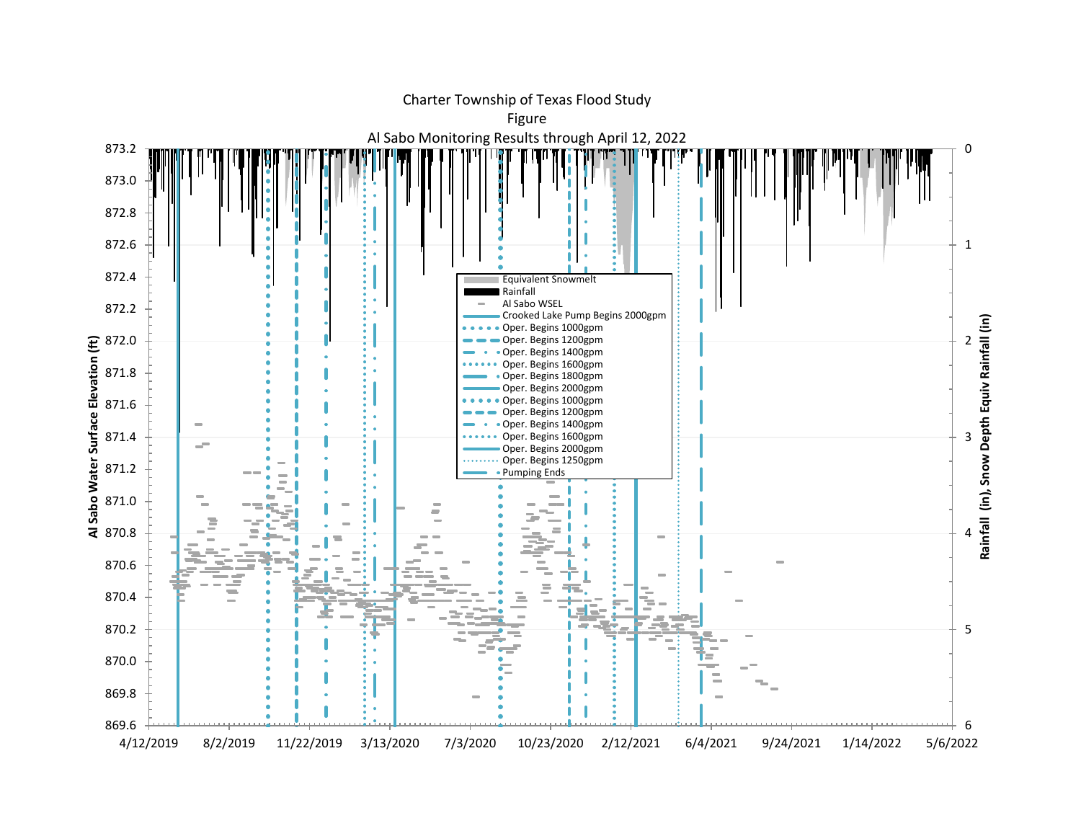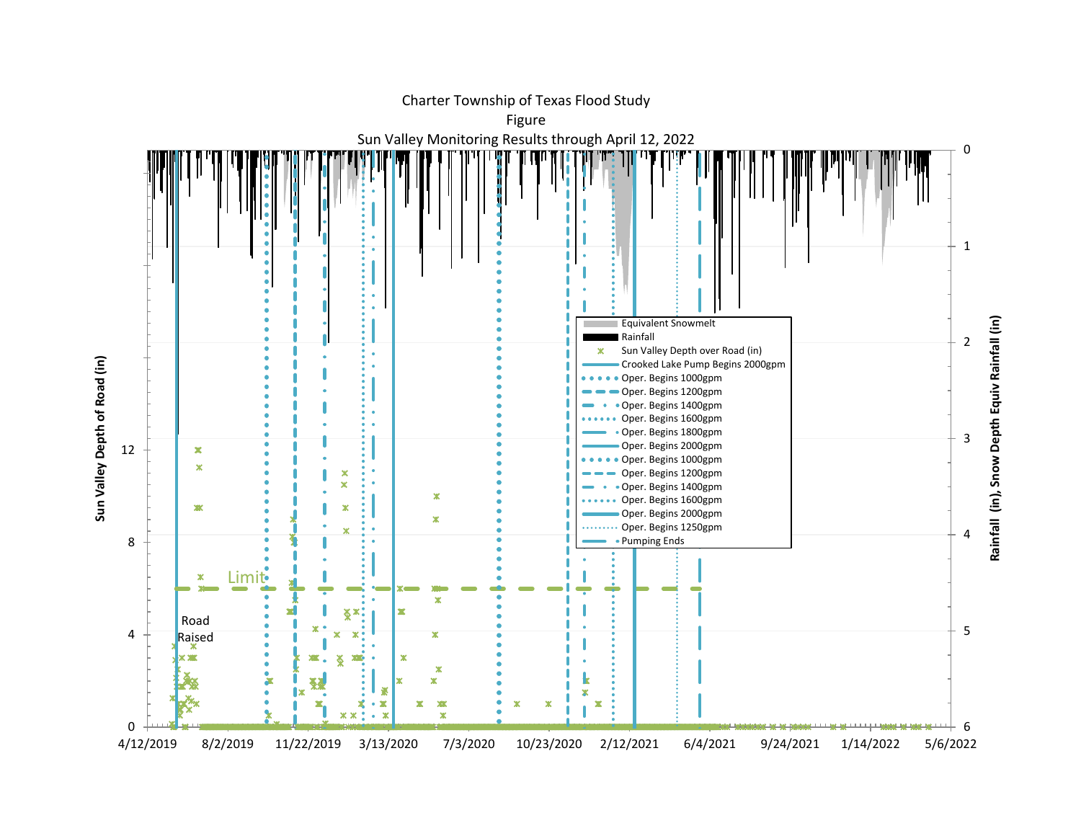

Charter Township of Texas Flood Study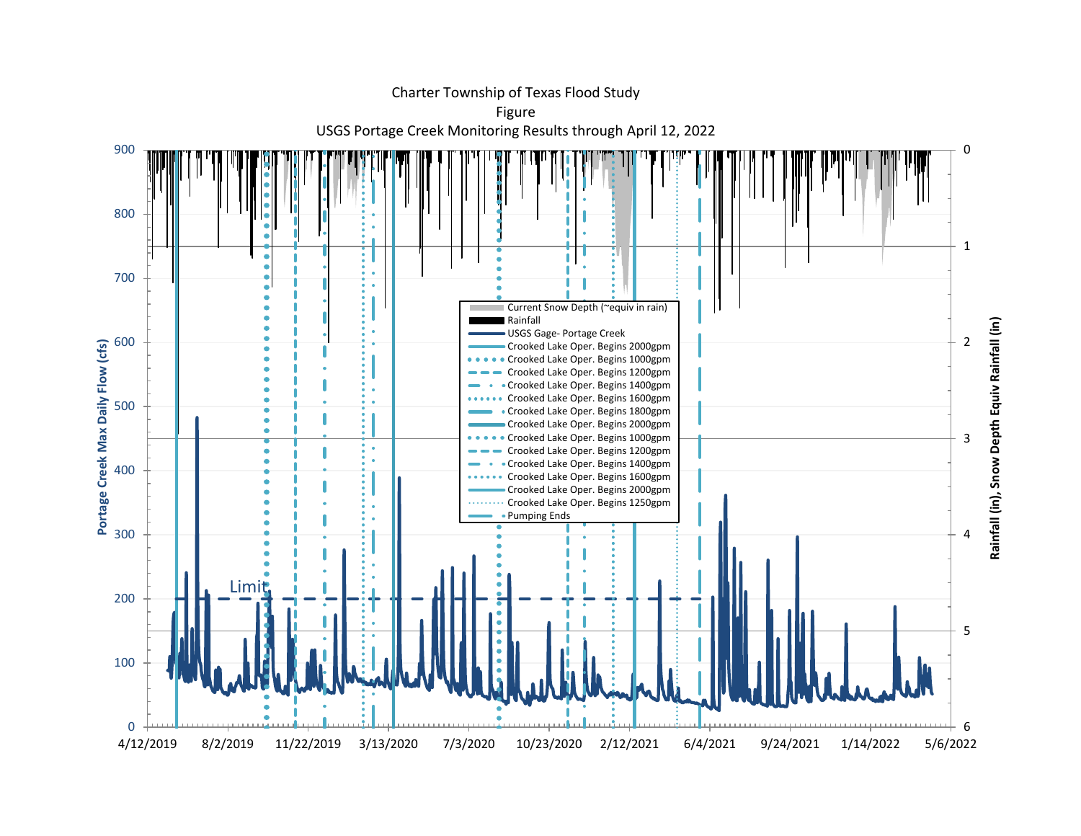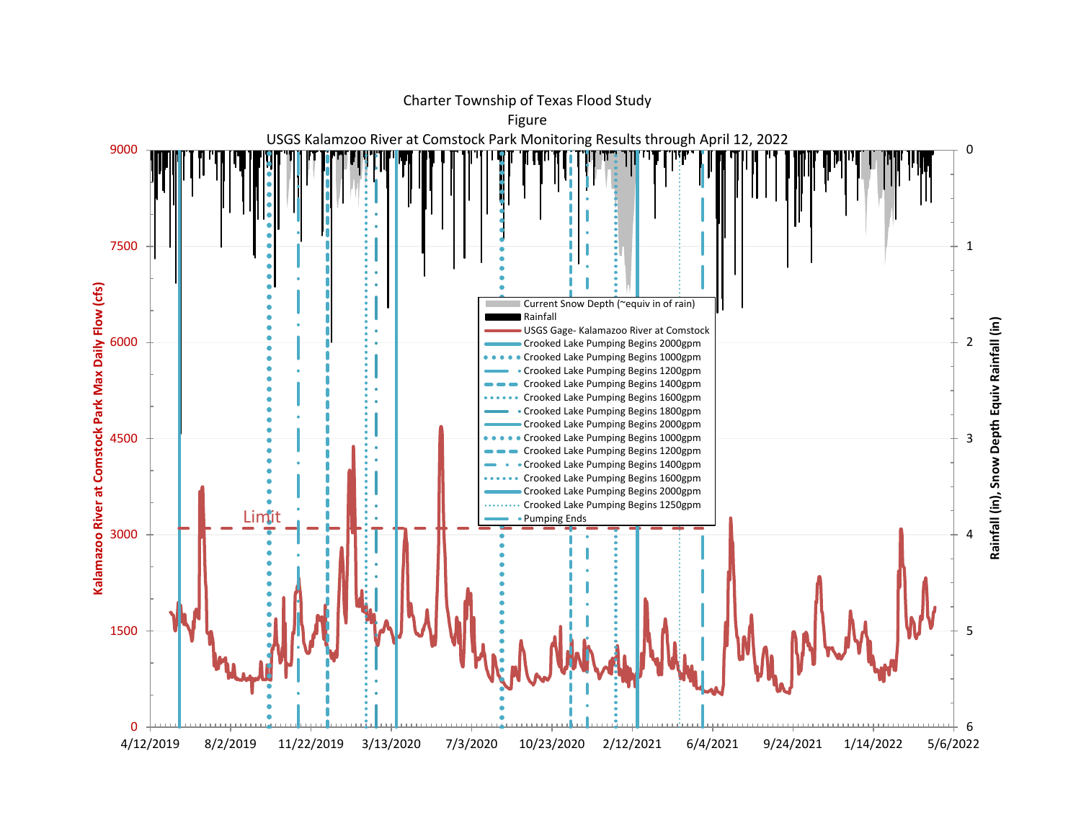

Charter Township of Texas Flood Study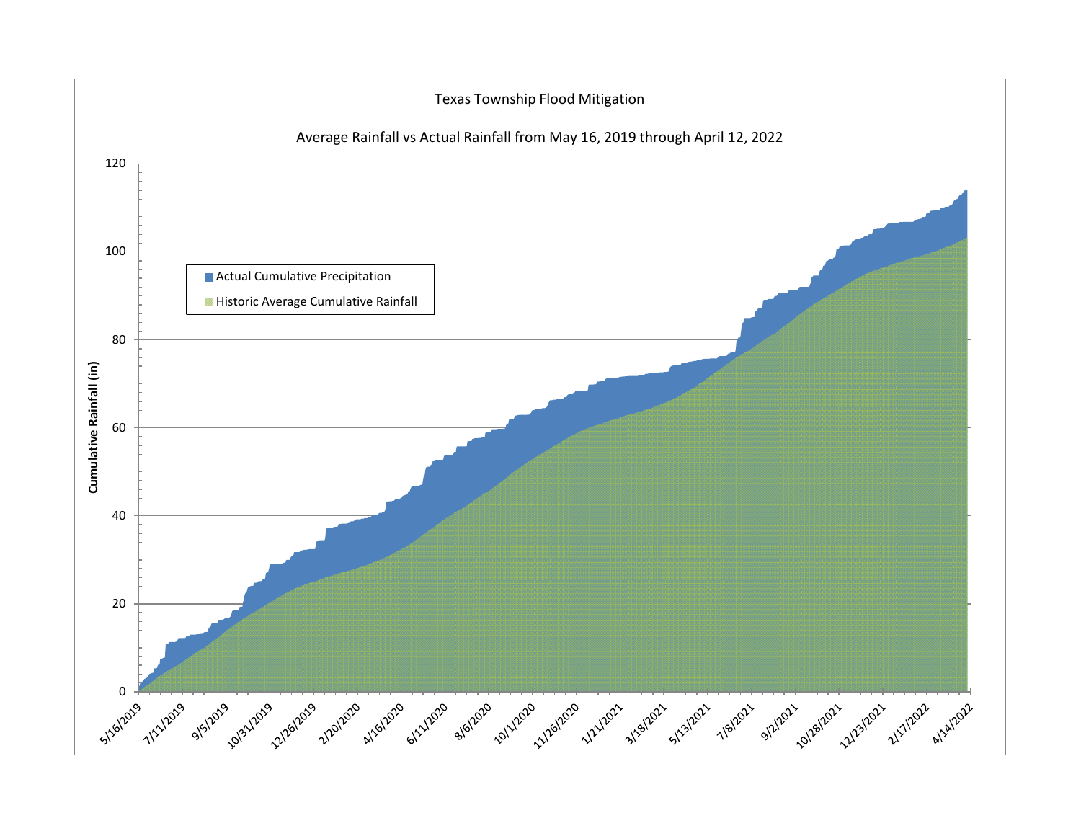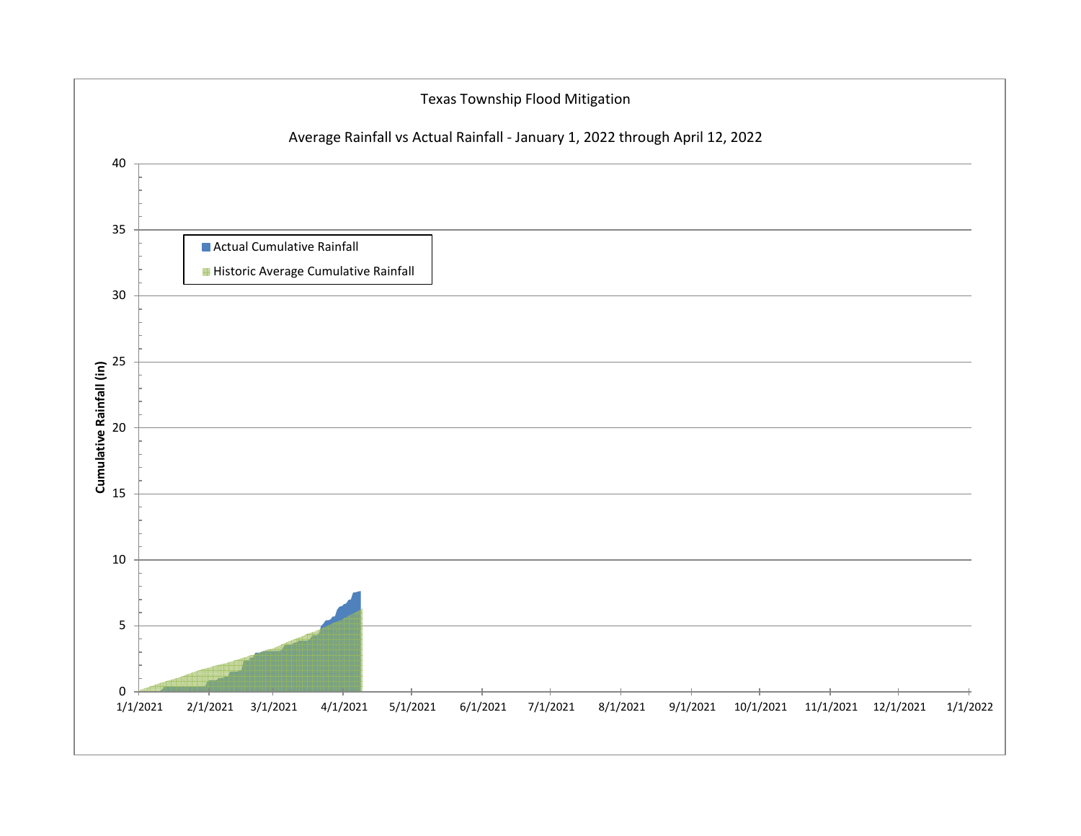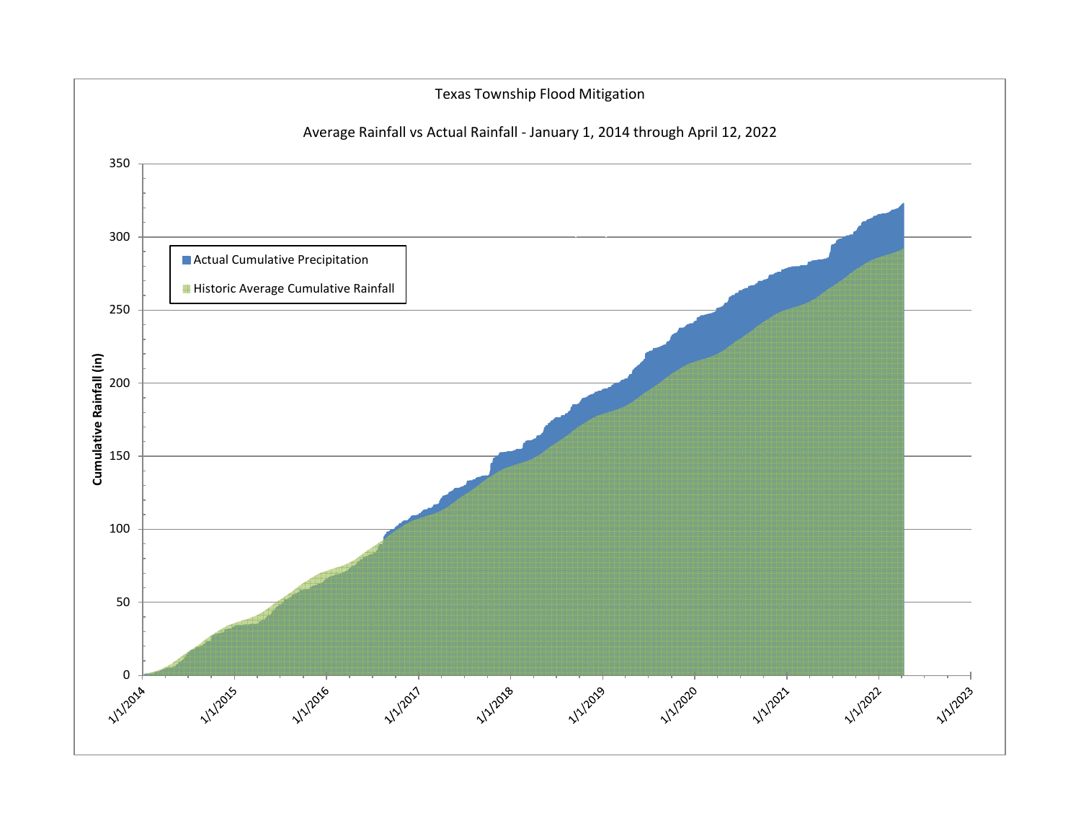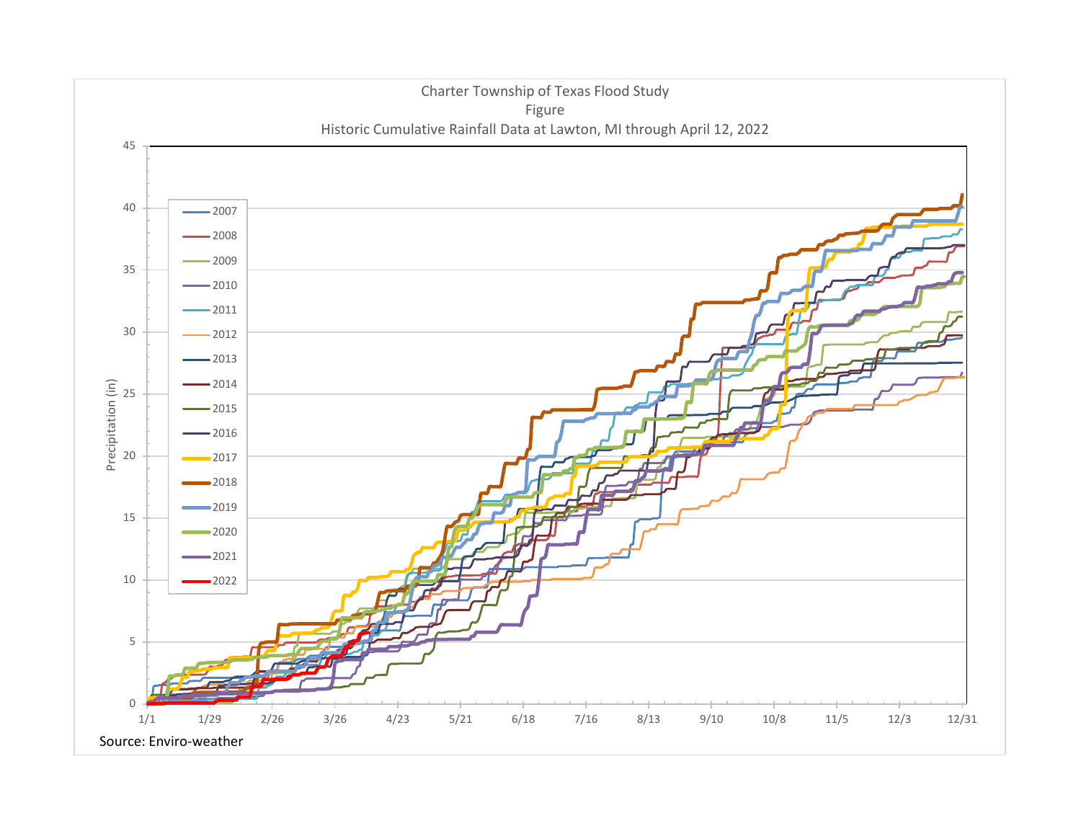